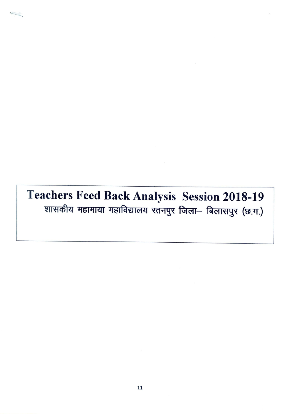## Teachers Feed Back Analysis Session 2018-19<br>शासकीय महामाया महाविद्यालय रतनपुर जिला- बिलासपुर (छ.ग.)